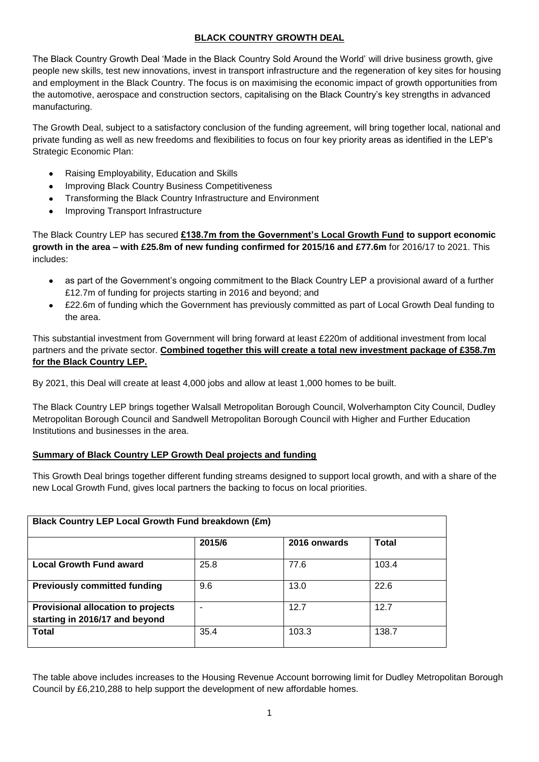# **BLACK COUNTRY GROWTH DEAL**

The Black Country Growth Deal 'Made in the Black Country Sold Around the World' will drive business growth, give people new skills, test new innovations, invest in transport infrastructure and the regeneration of key sites for housing and employment in the Black Country. The focus is on maximising the economic impact of growth opportunities from the automotive, aerospace and construction sectors, capitalising on the Black Country's key strengths in advanced manufacturing.

The Growth Deal, subject to a satisfactory conclusion of the funding agreement, will bring together local, national and private funding as well as new freedoms and flexibilities to focus on four key priority areas as identified in the LEP's Strategic Economic Plan:

- Raising Employability, Education and Skills
- Improving Black Country Business Competitiveness
- Transforming the Black Country Infrastructure and Environment  $\bullet$
- Improving Transport Infrastructure

The Black Country LEP has secured **£138.7m from the Government's Local Growth Fund to support economic growth in the area – with £25.8m of new funding confirmed for 2015/16 and £77.6m** for 2016/17 to 2021. This includes:

- as part of the Government's ongoing commitment to the Black Country LEP a provisional award of a further  $\bullet$ £12.7m of funding for projects starting in 2016 and beyond; and
- £22.6m of funding which the Government has previously committed as part of Local Growth Deal funding to the area.

This substantial investment from Government will bring forward at least £220m of additional investment from local partners and the private sector. **Combined together this will create a total new investment package of £358.7m for the Black Country LEP.**

By 2021, this Deal will create at least 4,000 jobs and allow at least 1,000 homes to be built.

The Black Country LEP brings together Walsall Metropolitan Borough Council, Wolverhampton City Council, Dudley Metropolitan Borough Council and Sandwell Metropolitan Borough Council with Higher and Further Education Institutions and businesses in the area.

## **Summary of Black Country LEP Growth Deal projects and funding**

This Growth Deal brings together different funding streams designed to support local growth, and with a share of the new Local Growth Fund, gives local partners the backing to focus on local priorities.

| Black Country LEP Local Growth Fund breakdown (£m)                   |        |              |              |
|----------------------------------------------------------------------|--------|--------------|--------------|
|                                                                      | 2015/6 | 2016 onwards | <b>Total</b> |
| <b>Local Growth Fund award</b>                                       | 25.8   | 77.6         | 103.4        |
| <b>Previously committed funding</b>                                  | 9.6    | 13.0         | 22.6         |
| Provisional allocation to projects<br>starting in 2016/17 and beyond |        | 12.7         | 12.7         |
| <b>Total</b>                                                         | 35.4   | 103.3        | 138.7        |

The table above includes increases to the Housing Revenue Account borrowing limit for Dudley Metropolitan Borough Council by £6,210,288 to help support the development of new affordable homes.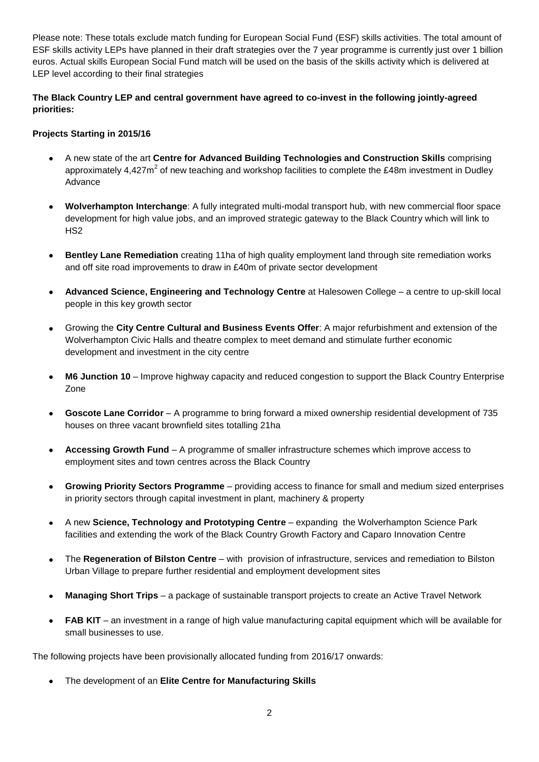Please note: These totals exclude match funding for European Social Fund (ESF) skills activities. The total amount of ESF skills activity LEPs have planned in their draft strategies over the 7 year programme is currently just over 1 billion euros. Actual skills European Social Fund match will be used on the basis of the skills activity which is delivered at LEP level according to their final strategies

**The Black Country LEP and central government have agreed to co-invest in the following jointly-agreed priorities:**

#### **Projects Starting in 2015/16**

- A new state of the art **Centre for Advanced Building Technologies and Construction Skills** comprising approximately 4,427 $m^2$  of new teaching and workshop facilities to complete the £48m investment in Dudley Advance
- **Wolverhampton Interchange**: A fully integrated multi-modal transport hub, with new commercial floor space development for high value jobs, and an improved strategic gateway to the Black Country which will link to HS2
- **Bentley Lane Remediation** creating 11ha of high quality employment land through site remediation works and off site road improvements to draw in £40m of private sector development
- **Advanced Science, Engineering and Technology Centre** at Halesowen College a centre to up-skill local people in this key growth sector
- Growing the **City Centre Cultural and Business Events Offer**: A major refurbishment and extension of the Wolverhampton Civic Halls and theatre complex to meet demand and stimulate further economic development and investment in the city centre
- **M6 Junction 10** Improve highway capacity and reduced congestion to support the Black Country Enterprise Zone
- **Goscote Lane Corridor** A programme to bring forward a mixed ownership residential development of 735 houses on three vacant brownfield sites totalling 21ha
- **Accessing Growth Fund** A programme of smaller infrastructure schemes which improve access to employment sites and town centres across the Black Country
- **Growing Priority Sectors Programme** providing access to finance for small and medium sized enterprises in priority sectors through capital investment in plant, machinery & property
- A new **Science, Technology and Prototyping Centre** expanding the Wolverhampton Science Park facilities and extending the work of the Black Country Growth Factory and Caparo Innovation Centre
- The **Regeneration of Bilston Centre** with provision of infrastructure, services and remediation to Bilston  $\bullet$ Urban Village to prepare further residential and employment development sites
- **Managing Short Trips** a package of sustainable transport projects to create an Active Travel Network  $\bullet$
- **FAB KIT** an investment in a range of high value manufacturing capital equipment which will be available for small businesses to use.

The following projects have been provisionally allocated funding from 2016/17 onwards:

The development of an **Elite Centre for Manufacturing Skills**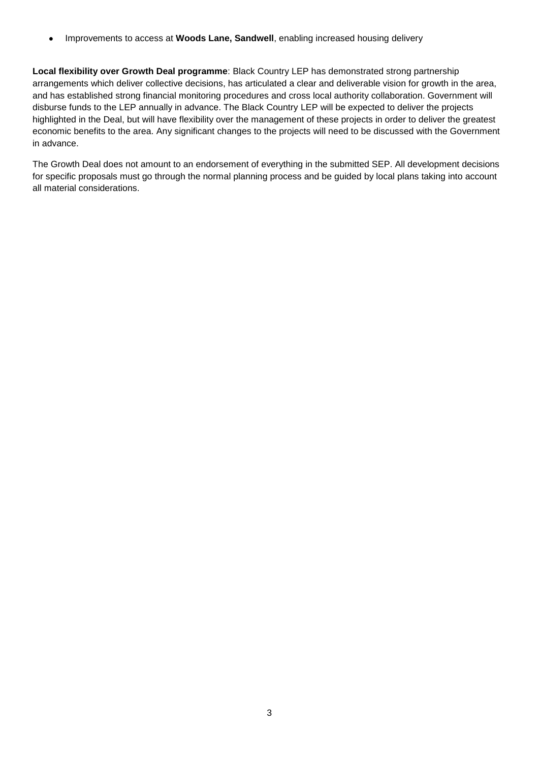Improvements to access at **Woods Lane, Sandwell**, enabling increased housing delivery  $\bullet$ 

**Local flexibility over Growth Deal programme**: Black Country LEP has demonstrated strong partnership arrangements which deliver collective decisions, has articulated a clear and deliverable vision for growth in the area, and has established strong financial monitoring procedures and cross local authority collaboration. Government will disburse funds to the LEP annually in advance. The Black Country LEP will be expected to deliver the projects highlighted in the Deal, but will have flexibility over the management of these projects in order to deliver the greatest economic benefits to the area. Any significant changes to the projects will need to be discussed with the Government in advance.

The Growth Deal does not amount to an endorsement of everything in the submitted SEP. All development decisions for specific proposals must go through the normal planning process and be guided by local plans taking into account all material considerations.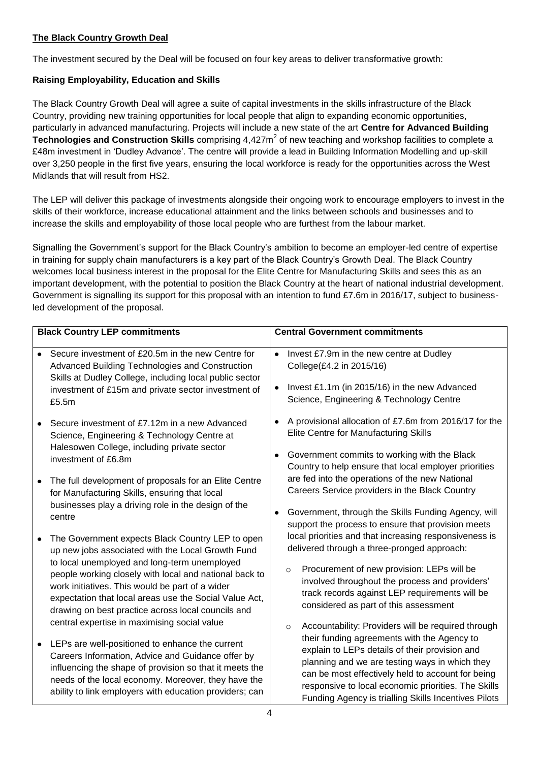## **The Black Country Growth Deal**

The investment secured by the Deal will be focused on four key areas to deliver transformative growth:

## **Raising Employability, Education and Skills**

The Black Country Growth Deal will agree a suite of capital investments in the skills infrastructure of the Black Country, providing new training opportunities for local people that align to expanding economic opportunities, particularly in advanced manufacturing. Projects will include a new state of the art **Centre for Advanced Building**  Technologies and Construction Skills comprising 4,427m<sup>2</sup> of new teaching and workshop facilities to complete a £48m investment in 'Dudley Advance'. The centre will provide a lead in Building Information Modelling and up-skill over 3,250 people in the first five years, ensuring the local workforce is ready for the opportunities across the West Midlands that will result from HS2.

The LEP will deliver this package of investments alongside their ongoing work to encourage employers to invest in the skills of their workforce, increase educational attainment and the links between schools and businesses and to increase the skills and employability of those local people who are furthest from the labour market.

Signalling the Government's support for the Black Country's ambition to become an employer-led centre of expertise in training for supply chain manufacturers is a key part of the Black Country's Growth Deal. The Black Country welcomes local business interest in the proposal for the Elite Centre for Manufacturing Skills and sees this as an important development, with the potential to position the Black Country at the heart of national industrial development. Government is signalling its support for this proposal with an intention to fund £7.6m in 2016/17, subject to businessled development of the proposal.

|           | <b>Black Country LEP commitments</b>                                                                                                                                                                                      |           | <b>Central Government commitments</b>                                                                                                                                                                            |
|-----------|---------------------------------------------------------------------------------------------------------------------------------------------------------------------------------------------------------------------------|-----------|------------------------------------------------------------------------------------------------------------------------------------------------------------------------------------------------------------------|
| $\bullet$ | Secure investment of £20.5m in the new Centre for<br>Advanced Building Technologies and Construction<br>Skills at Dudley College, including local public sector                                                           | $\bullet$ | Invest £7.9m in the new centre at Dudley<br>College(£4.2 in 2015/16)                                                                                                                                             |
|           | investment of £15m and private sector investment of<br>£5.5m                                                                                                                                                              | $\bullet$ | Invest £1.1m (in 2015/16) in the new Advanced<br>Science, Engineering & Technology Centre                                                                                                                        |
|           | Secure investment of £7.12m in a new Advanced<br>Science, Engineering & Technology Centre at                                                                                                                              | $\bullet$ | A provisional allocation of £7.6m from 2016/17 for the<br>Elite Centre for Manufacturing Skills                                                                                                                  |
|           | Halesowen College, including private sector<br>investment of £6.8m                                                                                                                                                        | $\bullet$ | Government commits to working with the Black<br>Country to help ensure that local employer priorities                                                                                                            |
| $\bullet$ | The full development of proposals for an Elite Centre<br>for Manufacturing Skills, ensuring that local                                                                                                                    |           | are fed into the operations of the new National<br>Careers Service providers in the Black Country                                                                                                                |
|           | businesses play a driving role in the design of the<br>centre                                                                                                                                                             | $\bullet$ | Government, through the Skills Funding Agency, will<br>support the process to ensure that provision meets                                                                                                        |
|           | The Government expects Black Country LEP to open<br>up new jobs associated with the Local Growth Fund<br>to local unemployed and long-term unemployed                                                                     |           | local priorities and that increasing responsiveness is<br>delivered through a three-pronged approach:                                                                                                            |
|           | people working closely with local and national back to<br>work initiatives. This would be part of a wider<br>expectation that local areas use the Social Value Act,<br>drawing on best practice across local councils and |           | Procurement of new provision: LEPs will be<br>$\circ$<br>involved throughout the process and providers'<br>track records against LEP requirements will be<br>considered as part of this assessment               |
| ٠         | central expertise in maximising social value<br>LEPs are well-positioned to enhance the current<br>Careers Information, Advice and Guidance offer by                                                                      |           | Accountability: Providers will be required through<br>$\circ$<br>their funding agreements with the Agency to<br>explain to LEPs details of their provision and<br>planning and we are testing ways in which they |
|           | influencing the shape of provision so that it meets the<br>needs of the local economy. Moreover, they have the<br>ability to link employers with education providers; can                                                 |           | can be most effectively held to account for being<br>responsive to local economic priorities. The Skills<br>Funding Agency is trialling Skills Incentives Pilots                                                 |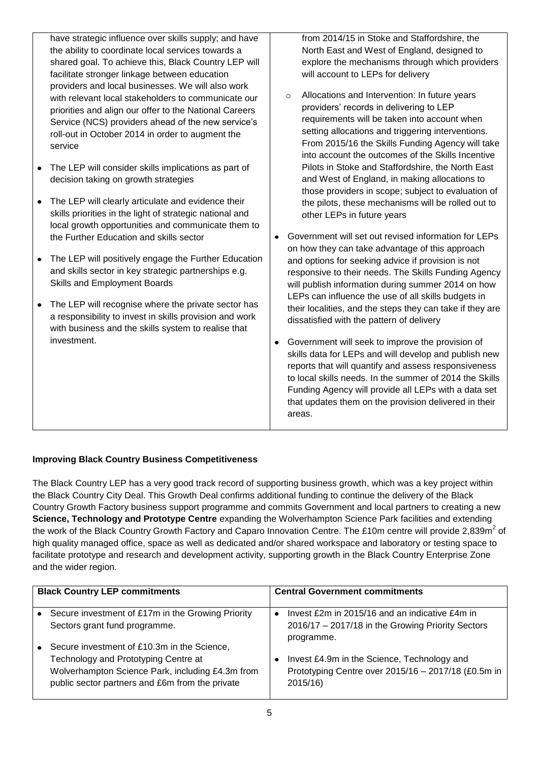have strategic influence over skills supply; and have from 2014/15 in Stoke and Staffordshire, the the ability to coordinate local services towards a North East and West of England, designed to shared goal. To achieve this, Black Country LEP will explore the mechanisms through which providers facilitate stronger linkage between education will account to LEPs for delivery providers and local businesses. We will also work o Allocations and Intervention: In future years with relevant local stakeholders to communicate our providers' records in delivering to LEP priorities and align our offer to the National Careers requirements will be taken into account when Service (NCS) providers ahead of the new service's setting allocations and triggering interventions. roll-out in October 2014 in order to augment the From 2015/16 the Skills Funding Agency will take service into account the outcomes of the Skills Incentive Pilots in Stoke and Staffordshire, the North East • The LEP will consider skills implications as part of decision taking on growth strategies and West of England, in making allocations to those providers in scope; subject to evaluation of • The LEP will clearly articulate and evidence their the pilots, these mechanisms will be rolled out to skills priorities in the light of strategic national and other LEPs in future years local growth opportunities and communicate them to the Further Education and skills sector Government will set out revised information for LEPs  $\bullet$ on how they can take advantage of this approach • The LEP will positively engage the Further Education and options for seeking advice if provision is not and skills sector in key strategic partnerships e.g. responsive to their needs. The Skills Funding Agency Skills and Employment Boards will publish information during summer 2014 on how LEPs can influence the use of all skills budgets in • The LEP will recognise where the private sector has their localities, and the steps they can take if they are a responsibility to invest in skills provision and work dissatisfied with the pattern of delivery with business and the skills system to realise that

> Government will seek to improve the provision of  $\bullet$ skills data for LEPs and will develop and publish new reports that will quantify and assess responsiveness to local skills needs. In the summer of 2014 the Skills Funding Agency will provide all LEPs with a data set that updates them on the provision delivered in their areas.

## **Improving Black Country Business Competitiveness**

investment.

The Black Country LEP has a very good track record of supporting business growth, which was a key project within the Black Country City Deal. This Growth Deal confirms additional funding to continue the delivery of the Black Country Growth Factory business support programme and commits Government and local partners to creating a new **Science, Technology and Prototype Centre** expanding the Wolverhampton Science Park facilities and extending the work of the Black Country Growth Factory and Caparo Innovation Centre. The £10m centre will provide 2,839m<sup>2</sup> of high quality managed office, space as well as dedicated and/or shared workspace and laboratory or testing space to facilitate prototype and research and development activity, supporting growth in the Black Country Enterprise Zone and the wider region.

| <b>Black Country LEP commitments</b>                                                                                                                                                       |           | <b>Central Government commitments</b>                                                                                   |
|--------------------------------------------------------------------------------------------------------------------------------------------------------------------------------------------|-----------|-------------------------------------------------------------------------------------------------------------------------|
| Secure investment of £17m in the Growing Priority<br>Sectors grant fund programme.                                                                                                         | $\bullet$ | Invest $£2m$ in $2015/16$ and an indicative $£4m$ in<br>2016/17 - 2017/18 in the Growing Priority Sectors<br>programme. |
| Secure investment of £10.3m in the Science,<br>Technology and Prototyping Centre at<br>Wolverhampton Science Park, including £4.3m from<br>public sector partners and £6m from the private |           | Invest £4.9m in the Science, Technology and<br>Prototyping Centre over 2015/16 - 2017/18 (£0.5m in<br>2015/16           |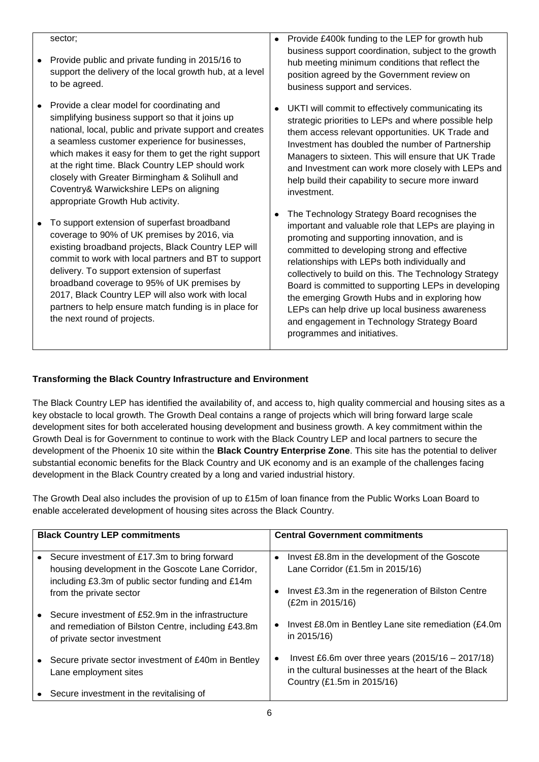#### Provide £400k funding to the LEP for growth hub sector;  $\bullet$ business support coordination, subject to the growth • Provide public and private funding in 2015/16 to hub meeting minimum conditions that reflect the support the delivery of the local growth hub, at a level position agreed by the Government review on to be agreed. business support and services. • Provide a clear model for coordinating and UKTI will commit to effectively communicating its simplifying business support so that it joins up strategic priorities to LEPs and where possible help national, local, public and private support and creates them access relevant opportunities. UK Trade and a seamless customer experience for businesses, Investment has doubled the number of Partnership which makes it easy for them to get the right support Managers to sixteen. This will ensure that UK Trade at the right time. Black Country LEP should work and Investment can work more closely with LEPs and closely with Greater Birmingham & Solihull and help build their capability to secure more inward Coventry& Warwickshire LEPs on aligning investment. appropriate Growth Hub activity. The Technology Strategy Board recognises the  $\bullet$ • To support extension of superfast broadband important and valuable role that LEPs are playing in coverage to 90% of UK premises by 2016, via promoting and supporting innovation, and is existing broadband projects, Black Country LEP will committed to developing strong and effective commit to work with local partners and BT to support relationships with LEPs both individually and delivery. To support extension of superfast collectively to build on this. The Technology Strategy broadband coverage to 95% of UK premises by Board is committed to supporting LEPs in developing 2017, Black Country LEP will also work with local the emerging Growth Hubs and in exploring how partners to help ensure match funding is in place for LEPs can help drive up local business awareness

and engagement in Technology Strategy Board

programmes and initiatives.

**Transforming the Black Country Infrastructure and Environment**

the next round of projects.

#### development of the Phoenix 10 site within the **Black Country Enterprise Zone**. This site has the potential to deliver substantial economic benefits for the Black Country and UK economy and is an example of the challenges facing development in the Black Country created by a long and varied industrial history.

The Growth Deal also includes the provision of up to £15m of loan finance from the Public Works Loan Board to enable accelerated development of housing sites across the Black Country.

The Black Country LEP has identified the availability of, and access to, high quality commercial and housing sites as a

key obstacle to local growth. The Growth Deal contains a range of projects which will bring forward large scale development sites for both accelerated housing development and business growth. A key commitment within the Growth Deal is for Government to continue to work with the Black Country LEP and local partners to secure the

| <b>Black Country LEP commitments</b> |                                                                                                                                                        | <b>Central Government commitments</b> |                                                                                                                                           |  |
|--------------------------------------|--------------------------------------------------------------------------------------------------------------------------------------------------------|---------------------------------------|-------------------------------------------------------------------------------------------------------------------------------------------|--|
|                                      | Secure investment of £17.3m to bring forward<br>housing development in the Goscote Lane Corridor,<br>including £3.3m of public sector funding and £14m | $\bullet$                             | Invest £8.8m in the development of the Goscote<br>Lane Corridor $(E1.5m$ in 2015/16)                                                      |  |
|                                      | from the private sector                                                                                                                                | ٠                                     | Invest £3.3m in the regeneration of Bilston Centre<br>(E2m in 2015/16)                                                                    |  |
|                                      | Secure investment of £52.9m in the infrastructure<br>and remediation of Bilston Centre, including £43.8m<br>of private sector investment               | $\bullet$                             | Invest £8.0m in Bentley Lane site remediation (£4.0m<br>in 2015/16)                                                                       |  |
|                                      | Secure private sector investment of £40m in Bentley<br>Lane employment sites                                                                           | ٠                                     | Invest £6.6m over three years $(2015/16 - 2017/18)$<br>in the cultural businesses at the heart of the Black<br>Country (£1.5m in 2015/16) |  |
|                                      | Secure investment in the revitalising of                                                                                                               |                                       |                                                                                                                                           |  |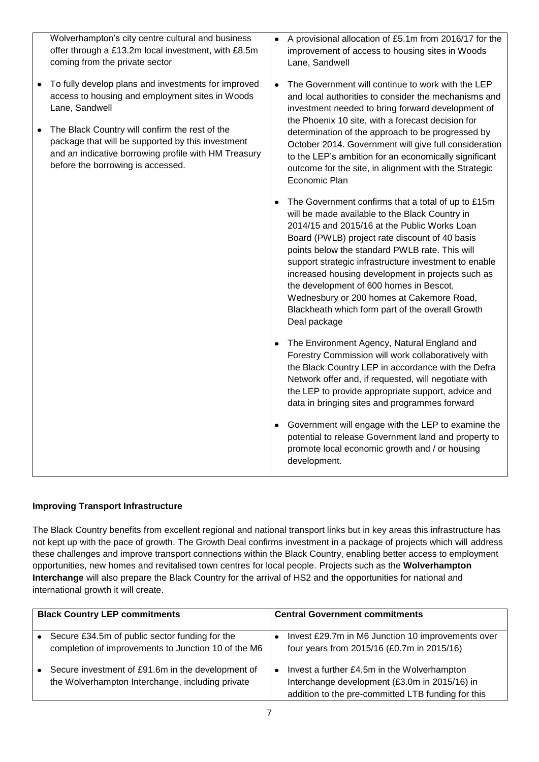| Wolverhampton's city centre cultural and business<br>offer through a £13.2m local investment, with £8.5m<br>coming from the private sector                                                       | $\bullet$ | A provisional allocation of £5.1m from 2016/17 for the<br>improvement of access to housing sites in Woods<br>Lane, Sandwell                                                                                                                                                                                                                                                                                                                                                                                                        |
|--------------------------------------------------------------------------------------------------------------------------------------------------------------------------------------------------|-----------|------------------------------------------------------------------------------------------------------------------------------------------------------------------------------------------------------------------------------------------------------------------------------------------------------------------------------------------------------------------------------------------------------------------------------------------------------------------------------------------------------------------------------------|
| To fully develop plans and investments for improved<br>access to housing and employment sites in Woods<br>Lane, Sandwell                                                                         | $\bullet$ | The Government will continue to work with the LEP<br>and local authorities to consider the mechanisms and<br>investment needed to bring forward development of<br>the Phoenix 10 site, with a forecast decision for                                                                                                                                                                                                                                                                                                                |
| The Black Country will confirm the rest of the<br>package that will be supported by this investment<br>and an indicative borrowing profile with HM Treasury<br>before the borrowing is accessed. |           | determination of the approach to be progressed by<br>October 2014. Government will give full consideration<br>to the LEP's ambition for an economically significant<br>outcome for the site, in alignment with the Strategic<br>Economic Plan                                                                                                                                                                                                                                                                                      |
|                                                                                                                                                                                                  | ٠         | The Government confirms that a total of up to £15m<br>will be made available to the Black Country in<br>2014/15 and 2015/16 at the Public Works Loan<br>Board (PWLB) project rate discount of 40 basis<br>points below the standard PWLB rate. This will<br>support strategic infrastructure investment to enable<br>increased housing development in projects such as<br>the development of 600 homes in Bescot,<br>Wednesbury or 200 homes at Cakemore Road,<br>Blackheath which form part of the overall Growth<br>Deal package |
|                                                                                                                                                                                                  |           | The Environment Agency, Natural England and<br>Forestry Commission will work collaboratively with<br>the Black Country LEP in accordance with the Defra<br>Network offer and, if requested, will negotiate with<br>the LEP to provide appropriate support, advice and<br>data in bringing sites and programmes forward                                                                                                                                                                                                             |
|                                                                                                                                                                                                  | $\bullet$ | Government will engage with the LEP to examine the<br>potential to release Government land and property to<br>promote local economic growth and / or housing<br>development.                                                                                                                                                                                                                                                                                                                                                       |

## **Improving Transport Infrastructure**

The Black Country benefits from excellent regional and national transport links but in key areas this infrastructure has not kept up with the pace of growth. The Growth Deal confirms investment in a package of projects which will address these challenges and improve transport connections within the Black Country, enabling better access to employment opportunities, new homes and revitalised town centres for local people. Projects such as the **Wolverhampton Interchange** will also prepare the Black Country for the arrival of HS2 and the opportunities for national and international growth it will create.

| <b>Black Country LEP commitments</b> |                                                                                                       | <b>Central Government commitments</b> |                                                                                                                                                    |
|--------------------------------------|-------------------------------------------------------------------------------------------------------|---------------------------------------|----------------------------------------------------------------------------------------------------------------------------------------------------|
|                                      | Secure £34.5m of public sector funding for the<br>completion of improvements to Junction 10 of the M6 |                                       | Invest £29.7m in M6 Junction 10 improvements over<br>four years from 2015/16 (£0.7m in 2015/16)                                                    |
|                                      | Secure investment of £91.6m in the development of<br>the Wolverhampton Interchange, including private | $\bullet$                             | Invest a further £4.5m in the Wolverhampton<br>Interchange development (£3.0m in 2015/16) in<br>addition to the pre-committed LTB funding for this |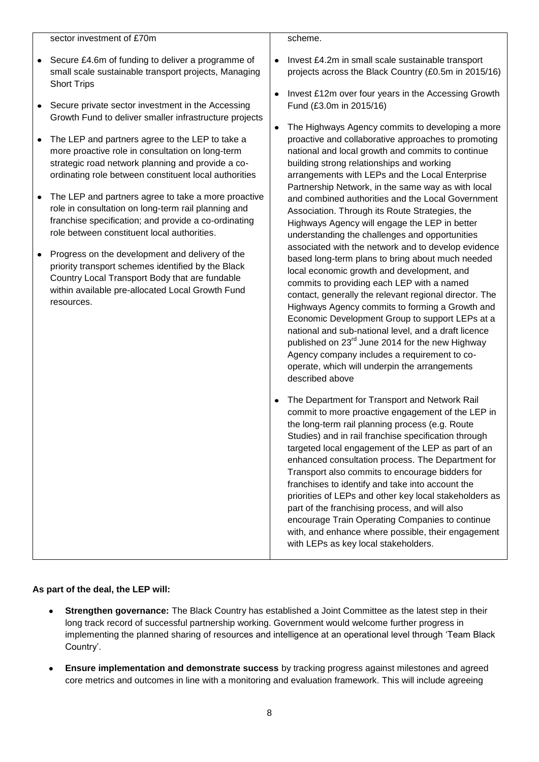sector investment of £70m

- Secure £4.6m of funding to deliver a programme of small scale sustainable transport projects, Managing Short Trips
- Secure private sector investment in the Accessing Growth Fund to deliver smaller infrastructure projects
- The LEP and partners agree to the LEP to take a more proactive role in consultation on long-term strategic road network planning and provide a coordinating role between constituent local authorities
- The LEP and partners agree to take a more proactive role in consultation on long-term rail planning and franchise specification; and provide a co-ordinating role between constituent local authorities.
- Progress on the development and delivery of the priority transport schemes identified by the Black Country Local Transport Body that are fundable within available pre-allocated Local Growth Fund resources.
- scheme.
- Invest £4.2m in small scale sustainable transport projects across the Black Country (£0.5m in 2015/16)
- Invest £12m over four years in the Accessing Growth Fund (£3.0m in 2015/16)
- The Highways Agency commits to developing a more proactive and collaborative approaches to promoting national and local growth and commits to continue building strong relationships and working arrangements with LEPs and the Local Enterprise Partnership Network, in the same way as with local and combined authorities and the Local Government Association. Through its Route Strategies, the Highways Agency will engage the LEP in better understanding the challenges and opportunities associated with the network and to develop evidence based long-term plans to bring about much needed local economic growth and development, and commits to providing each LEP with a named contact, generally the relevant regional director. The Highways Agency commits to forming a Growth and Economic Development Group to support LEPs at a national and sub-national level, and a draft licence published on 23rd June 2014 for the new Highway Agency company includes a requirement to cooperate, which will underpin the arrangements described above
- The Department for Transport and Network Rail commit to more proactive engagement of the LEP in the long-term rail planning process (e.g. Route Studies) and in rail franchise specification through targeted local engagement of the LEP as part of an enhanced consultation process. The Department for Transport also commits to encourage bidders for franchises to identify and take into account the priorities of LEPs and other key local stakeholders as part of the franchising process, and will also encourage Train Operating Companies to continue with, and enhance where possible, their engagement with LEPs as key local stakeholders.

## **As part of the deal, the LEP will:**

- **Strengthen governance:** The Black Country has established a Joint Committee as the latest step in their long track record of successful partnership working. Government would welcome further progress in implementing the planned sharing of resources and intelligence at an operational level through 'Team Black Country'.
- **Ensure implementation and demonstrate success** by tracking progress against milestones and agreed core metrics and outcomes in line with a monitoring and evaluation framework. This will include agreeing